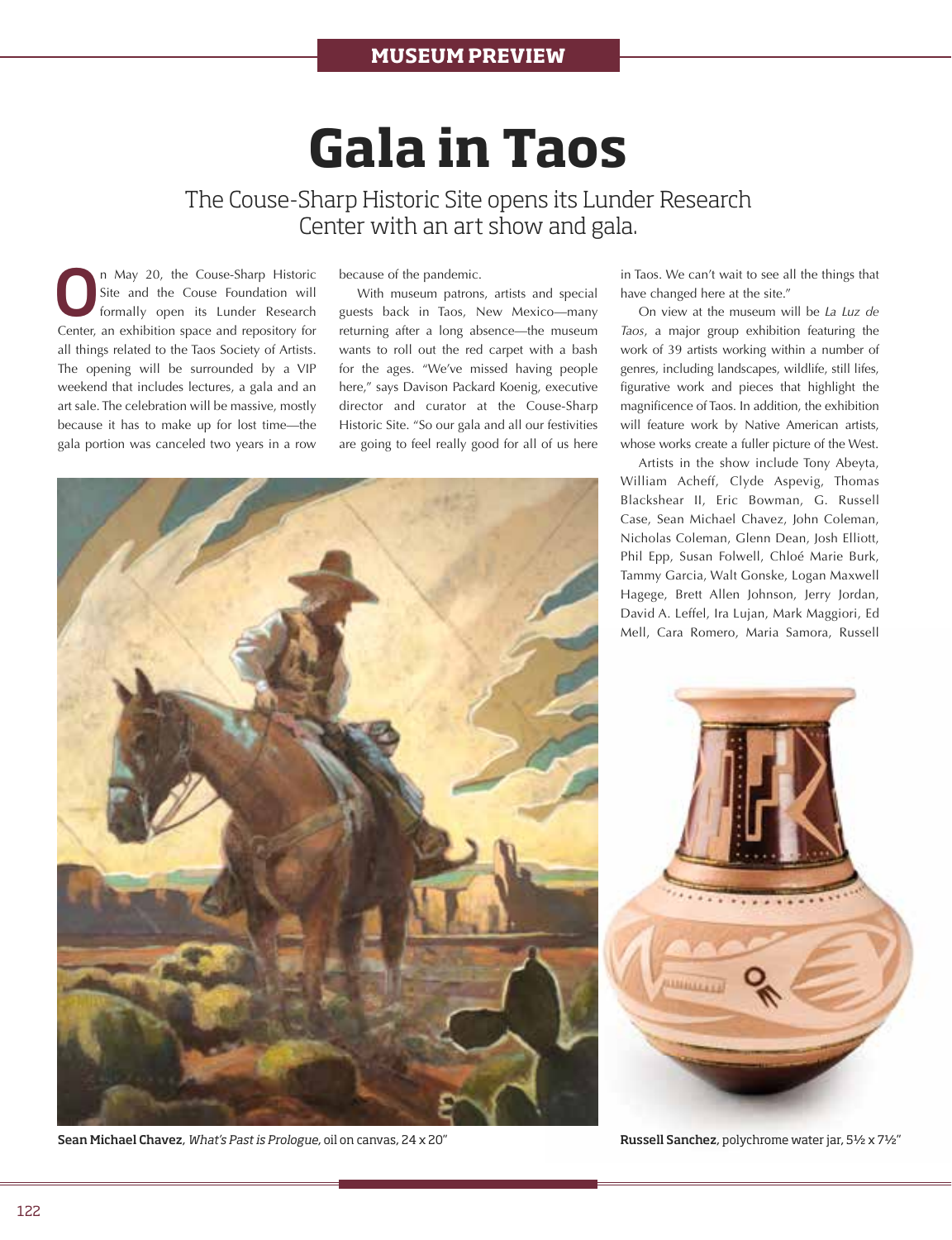## **Gala in Taos**

The Couse-Sharp Historic Site opens its Lunder Research Center with an art show and gala.

On May 20, the Couse-Sharp Historic Site and the Couse Foundation will formally open its Lunder Research Site and the Couse Foundation will Center, an exhibition space and repository for all things related to the Taos Society of Artists. The opening will be surrounded by a VIP weekend that includes lectures, a gala and an art sale. The celebration will be massive, mostly because it has to make up for lost time—the gala portion was canceled two years in a row

because of the pandemic.

With museum patrons, artists and special guests back in Taos, New Mexico—many returning after a long absence—the museum wants to roll out the red carpet with a bash for the ages. "We've missed having people here," says Davison Packard Koenig, executive director and curator at the Couse-Sharp Historic Site. "So our gala and all our festivities are going to feel really good for all of us here in Taos. We can't wait to see all the things that have changed here at the site."

On view at the museum will be *La Luz de Taos*, a major group exhibition featuring the work of 39 artists working within a number of genres, including landscapes, wildlife, still lifes, figurative work and pieces that highlight the magnificence of Taos. In addition, the exhibition will feature work by Native American artists, whose works create a fuller picture of the West.

Artists in the show include Tony Abeyta, William Acheff, Clyde Aspevig, Thomas Blackshear II, Eric Bowman, G. Russell Case, Sean Michael Chavez, John Coleman, Nicholas Coleman, Glenn Dean, Josh Elliott, Phil Epp, Susan Folwell, Chloé Marie Burk, Tammy Garcia, Walt Gonske, Logan Maxwell Hagege, Brett Allen Johnson, Jerry Jordan, David A. Leffel, Ira Lujan, Mark Maggiori, Ed Mell, Cara Romero, Maria Samora, Russell



Russell Sanchez, polychrome water jar, 5½ x 7½"



Sean Michael Chavez, *What's Past is Prologue*, oil on canvas, 24 x 20"